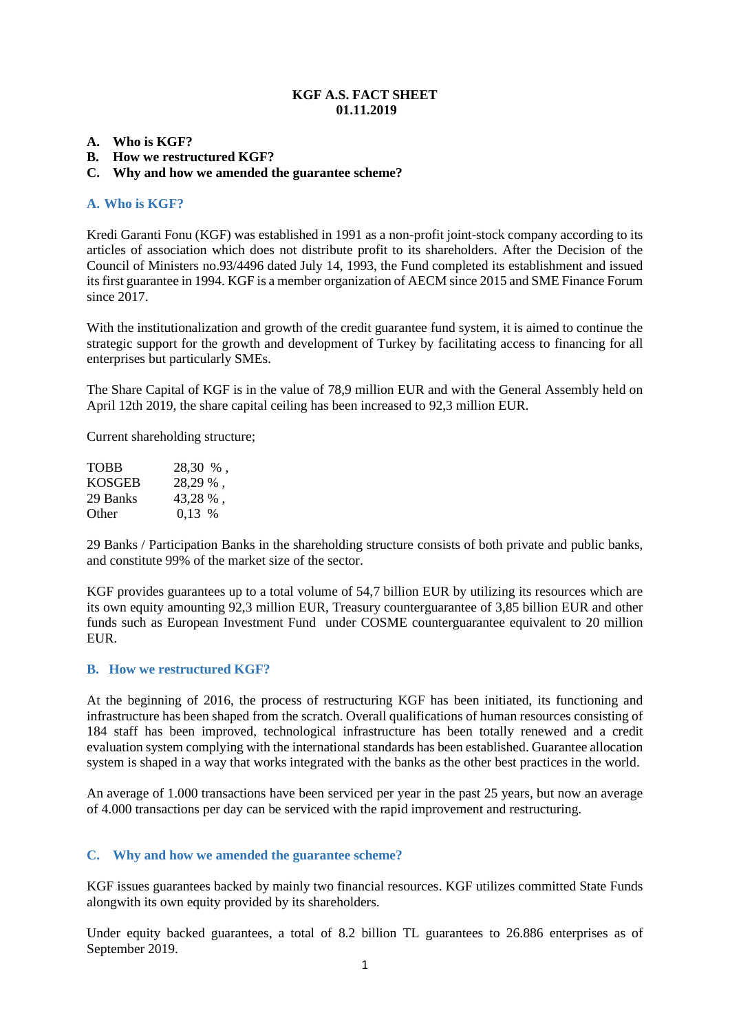# **KGF A.S. FACT SHEET 01.11.2019**

#### **A. Who is KGF?**

**B. How we restructured KGF?** 

# **C. Why and how we amended the guarantee scheme?**

### **A. Who is KGF?**

Kredi Garanti Fonu (KGF) was established in 1991 as a non-profit joint-stock company according to its articles of association which does not distribute profit to its shareholders. After the Decision of the Council of Ministers no.93/4496 dated July 14, 1993, the Fund completed its establishment and issued its first guarantee in 1994. KGF is a member organization of AECM since 2015 and SME Finance Forum since 2017.

With the institutionalization and growth of the credit guarantee fund system, it is aimed to continue the strategic support for the growth and development of Turkey by facilitating access to financing for all enterprises but particularly SMEs.

The Share Capital of KGF is in the value of 78,9 million EUR and with the General Assembly held on April 12th 2019, the share capital ceiling has been increased to 92,3 million EUR.

Current shareholding structure;

| <b>TOBB</b>   | 28,30 %, |
|---------------|----------|
| <b>KOSGEB</b> | 28,29 %, |
| 29 Banks      | 43,28 %, |
| Other         | $0.13\%$ |

29 Banks / Participation Banks in the shareholding structure consists of both private and public banks, and constitute 99% of the market size of the sector.

KGF provides guarantees up to a total volume of 54,7 billion EUR by utilizing its resources which are its own equity amounting 92,3 million EUR, Treasury counterguarantee of 3,85 billion EUR and other funds such as European Investment Fund under COSME counterguarantee equivalent to 20 million **EUR** 

# **B. How we restructured KGF?**

At the beginning of 2016, the process of restructuring KGF has been initiated, its functioning and infrastructure has been shaped from the scratch. Overall qualifications of human resources consisting of 184 staff has been improved, technological infrastructure has been totally renewed and a credit evaluation system complying with the international standards has been established. Guarantee allocation system is shaped in a way that works integrated with the banks as the other best practices in the world.

An average of 1.000 transactions have been serviced per year in the past 25 years, but now an average of 4.000 transactions per day can be serviced with the rapid improvement and restructuring.

# **C. Why and how we amended the guarantee scheme?**

KGF issues guarantees backed by mainly two financial resources. KGF utilizes committed State Funds alongwith its own equity provided by its shareholders.

Under equity backed guarantees, a total of 8.2 billion TL guarantees to 26.886 enterprises as of September 2019.